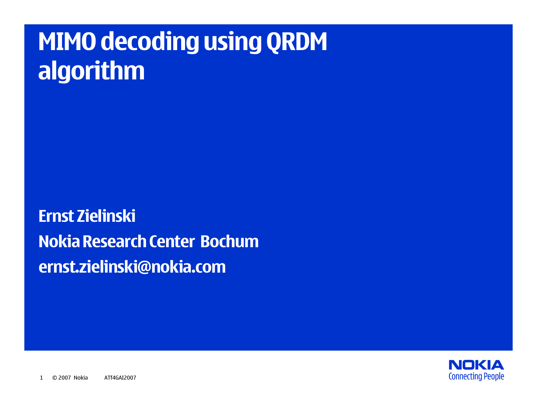# **MIMO decoding using QRDM algorithm**

**Ernst ZielinskiNokia Research Center Bochum ernst.zielinski@nokia.com**

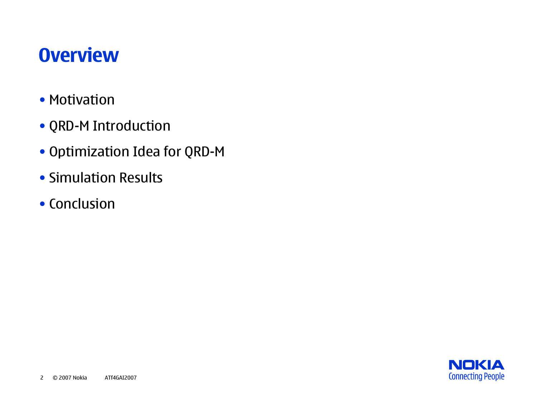## **Overview**

- Motivation
- QRD-M Introduction
- Optimization Idea for QRD-M
- Simulation Results
- Conclusion

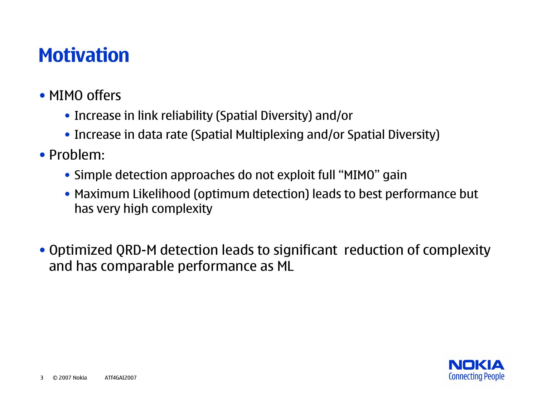## **Motivation**

#### • MIMO offers

- Increase in link reliability (Spatial Diversity) and/or
- Increase in data rate (Spatial Multiplexing and/or Spatial Diversity)
- Problem:
	- Simple detection approaches do not exploit full "MIMO" gain
	- Maximum Likelihood (optimum detection) leads to best performance but has very high complexity
- Optimized QRD-M detection leads to significant reduction of complexity and has comparable performance as ML

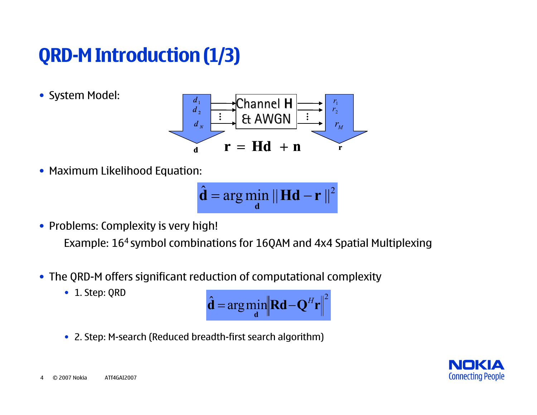## **QRD-M Introduction (1/3)**

• System Model:



• Maximum Likelihood Equation:

$$
\hat{\mathbf{d}} = \arg\min_{\mathbf{d}} \|\mathbf{H}\mathbf{d} - \mathbf{r}\|^2
$$

- Problems: Complexity is very high! Example: 164 symbol combinations for 16QAM and 4x4 Spatial Multiplexing
- The QRD-M offers significant reduction of computational complexity
	- 1. Step: QRD

$$
\hat{\mathbf{d}} = \arg\min_{\mathbf{d}} \left\| \mathbf{R} \mathbf{d} - \mathbf{Q}^H \mathbf{r} \right\|^2
$$

• 2. Step: M-search (Reduced breadth-first search algorithm)

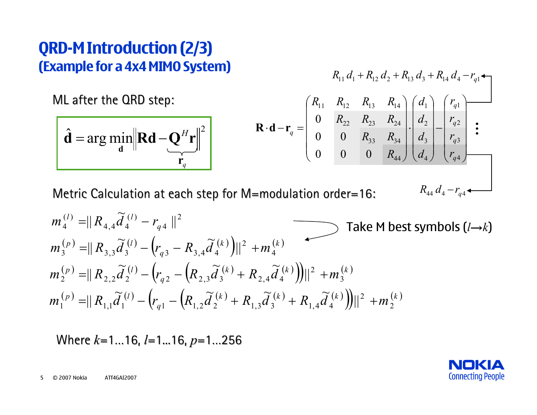#### **QRD-M Introduction (2/3) (Example for a 4x4 MIMO System)**

ML after the QRD step:

$$
\hat{\mathbf{d}} = \arg\min_{\mathbf{d}} \left\| \mathbf{R} \mathbf{d} - \mathbf{Q}^H \mathbf{r} \right\|^2
$$

$$
R_{11} d_1 + R_{12} d_2 + R_{13} d_3 + R_{14} d_4 - r_{q1} +
$$
\n
$$
\mathbf{R} \cdot \mathbf{d} - \mathbf{r}_q = \begin{pmatrix} R_{11} & R_{12} & R_{13} & R_{14} \\ 0 & R_{22} & R_{23} & R_{24} \\ 0 & 0 & R_{33} & R_{34} \\ 0 & 0 & 0 & R_{44} \end{pmatrix} \cdot \begin{pmatrix} d_1 \\ d_2 \\ d_3 \\ d_4 \end{pmatrix} - \begin{pmatrix} r_{q1} \\ r_{q2} \\ r_{q3} \\ r_{q4} \end{pmatrix}
$$
\n
$$
= \text{modulation order} = 16; \qquad R_{44} d_4 - r_{q4} + \cdots
$$

Metric Calculation at each step for M=modulation order=16:

$$
m_4^{(l)} = || R_{4,4} \tilde{d}_4^{(l)} - r_{q4} ||^2
$$
  
\n
$$
m_3^{(p)} = || R_{3,3} \tilde{d}_3^{(l)} - (r_{q3} - R_{3,4} \tilde{d}_4^{(k)}) ||^2 + m_4^{(k)}
$$
  
\n
$$
m_2^{(p)} = || R_{2,2} \tilde{d}_2^{(l)} - (r_{q2} - (R_{2,3} \tilde{d}_3^{(k)} + R_{2,4} \tilde{d}_4^{(k)}) ||^2 + m_3^{(k)}
$$
  
\n
$$
m_1^{(p)} = || R_{1,1} \tilde{d}_1^{(l)} - (r_{q1} - (R_{1,2} \tilde{d}_2^{(k)} + R_{1,3} \tilde{d}_3^{(k)} + R_{1,4} \tilde{d}_4^{(k)}) ||^2 + m_2^{(k)}
$$

Where  $k=1...16$ ,  $l=1...16$ ,  $p=1...256$ 

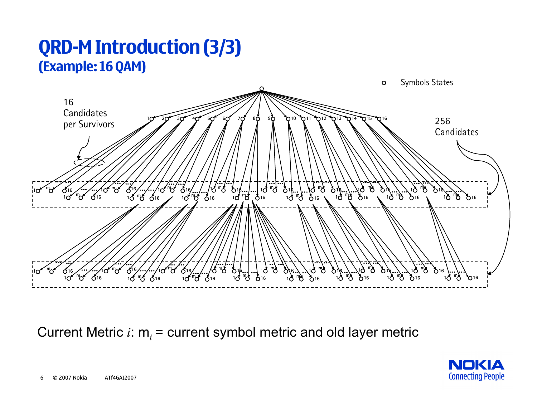#### **QRD-M Introduction (3/3) (Example: 16 QAM)**



Current Metric *i*: m*i* = current symbol metric and old layer metric

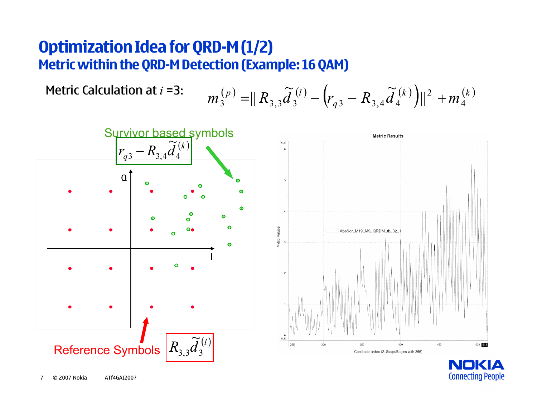#### **Optimization Idea for QRD-M (1/2) Metric within the QRD-M Detection (Example: 16 QAM)**



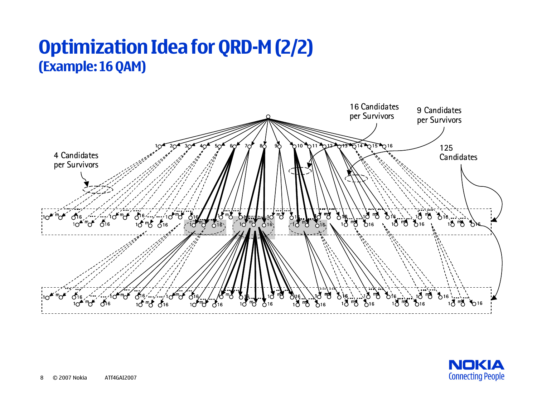#### **Optimization Idea for QRD-M (2/2) (Example: 16 QAM)**



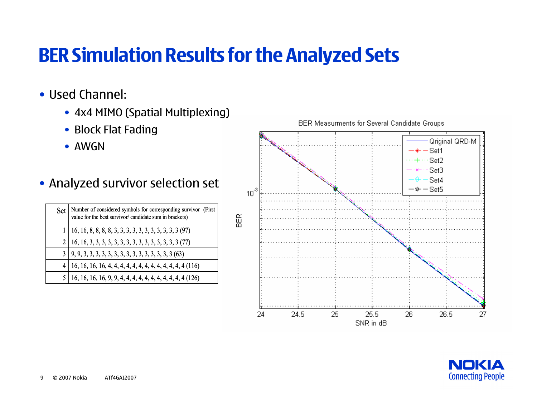## **BER Simulation Results for the Analyzed Sets**

- Used Channel:
	- 4x4 MIMO (Spatial Multiplexing)
	- Block Flat Fading
	- AWGN
- Analyzed survivor selection set

| <b>Set</b> | Number of considered symbols for corresponding survivor (First<br>value for the best survivor/ candidate sum in brackets) |
|------------|---------------------------------------------------------------------------------------------------------------------------|
|            | 16, 16, 8, 8, 8, 8, 3, 3, 3, 3, 3, 3, 3, 3, 3, 3, 3 (97)                                                                  |
|            |                                                                                                                           |
|            |                                                                                                                           |
|            |                                                                                                                           |
|            | 16, 16, 16, 16, 9, 9, 4, 4, 4, 4, 4, 4, 4, 4, 4, 4, 4 (126)                                                               |